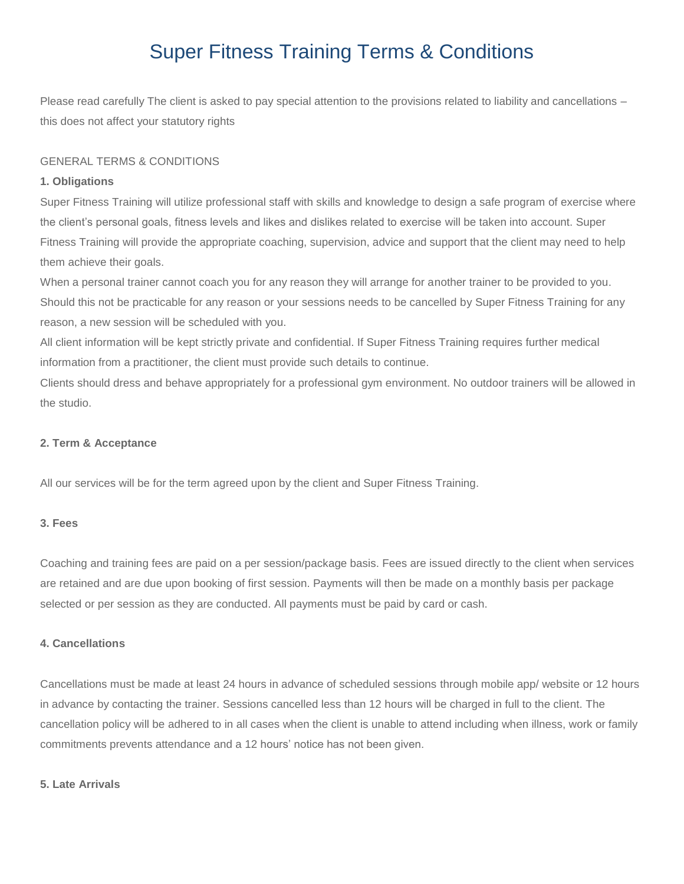# Super Fitness Training Terms & Conditions

Please read carefully The client is asked to pay special attention to the provisions related to liability and cancellations – this does not affect your statutory rights

## GENERAL TERMS & CONDITIONS

## **1. Obligations**

Super Fitness Training will utilize professional staff with skills and knowledge to design a safe program of exercise where the client's personal goals, fitness levels and likes and dislikes related to exercise will be taken into account. Super Fitness Training will provide the appropriate coaching, supervision, advice and support that the client may need to help them achieve their goals.

When a personal trainer cannot coach you for any reason they will arrange for another trainer to be provided to you. Should this not be practicable for any reason or your sessions needs to be cancelled by Super Fitness Training for any reason, a new session will be scheduled with you.

All client information will be kept strictly private and confidential. If Super Fitness Training requires further medical information from a practitioner, the client must provide such details to continue.

Clients should dress and behave appropriately for a professional gym environment. No outdoor trainers will be allowed in the studio.

#### **2. Term & Acceptance**

All our services will be for the term agreed upon by the client and Super Fitness Training.

## **3. Fees**

Coaching and training fees are paid on a per session/package basis. Fees are issued directly to the client when services are retained and are due upon booking of first session. Payments will then be made on a monthly basis per package selected or per session as they are conducted. All payments must be paid by card or cash.

# **4. Cancellations**

Cancellations must be made at least 24 hours in advance of scheduled sessions through mobile app/ website or 12 hours in advance by contacting the trainer. Sessions cancelled less than 12 hours will be charged in full to the client. The cancellation policy will be adhered to in all cases when the client is unable to attend including when illness, work or family commitments prevents attendance and a 12 hours' notice has not been given.

## **5. Late Arrivals**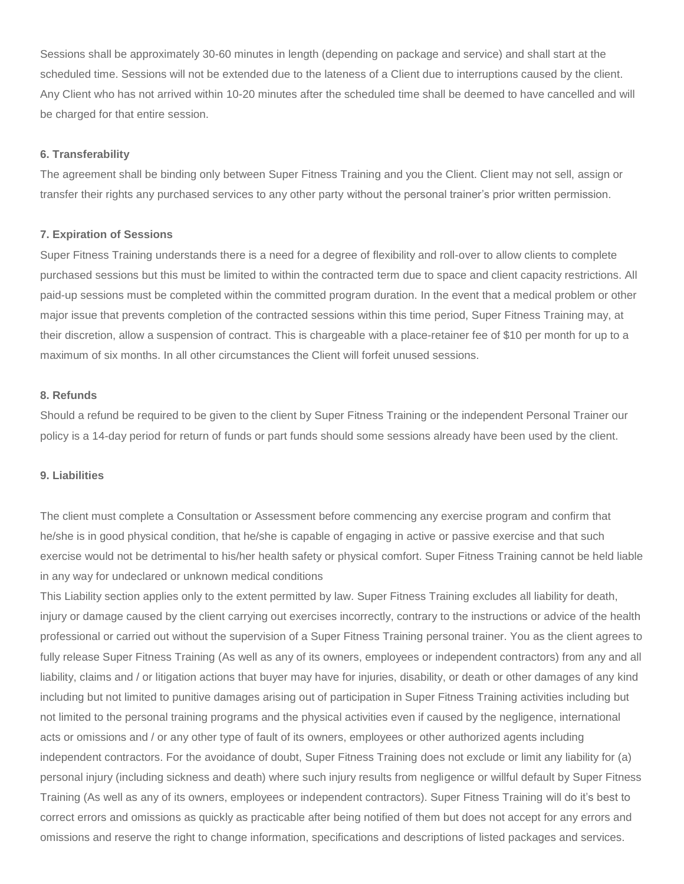Sessions shall be approximately 30-60 minutes in length (depending on package and service) and shall start at the scheduled time. Sessions will not be extended due to the lateness of a Client due to interruptions caused by the client. Any Client who has not arrived within 10-20 minutes after the scheduled time shall be deemed to have cancelled and will be charged for that entire session.

## **6. Transferability**

The agreement shall be binding only between Super Fitness Training and you the Client. Client may not sell, assign or transfer their rights any purchased services to any other party without the personal trainer's prior written permission.

## **7. Expiration of Sessions**

Super Fitness Training understands there is a need for a degree of flexibility and roll-over to allow clients to complete purchased sessions but this must be limited to within the contracted term due to space and client capacity restrictions. All paid-up sessions must be completed within the committed program duration. In the event that a medical problem or other major issue that prevents completion of the contracted sessions within this time period, Super Fitness Training may, at their discretion, allow a suspension of contract. This is chargeable with a place-retainer fee of \$10 per month for up to a maximum of six months. In all other circumstances the Client will forfeit unused sessions.

## **8. Refunds**

Should a refund be required to be given to the client by Super Fitness Training or the independent Personal Trainer our policy is a 14-day period for return of funds or part funds should some sessions already have been used by the client.

# **9. Liabilities**

The client must complete a Consultation or Assessment before commencing any exercise program and confirm that he/she is in good physical condition, that he/she is capable of engaging in active or passive exercise and that such exercise would not be detrimental to his/her health safety or physical comfort. Super Fitness Training cannot be held liable in any way for undeclared or unknown medical conditions

This Liability section applies only to the extent permitted by law. Super Fitness Training excludes all liability for death, injury or damage caused by the client carrying out exercises incorrectly, contrary to the instructions or advice of the health professional or carried out without the supervision of a Super Fitness Training personal trainer. You as the client agrees to fully release Super Fitness Training (As well as any of its owners, employees or independent contractors) from any and all liability, claims and / or litigation actions that buyer may have for injuries, disability, or death or other damages of any kind including but not limited to punitive damages arising out of participation in Super Fitness Training activities including but not limited to the personal training programs and the physical activities even if caused by the negligence, international acts or omissions and / or any other type of fault of its owners, employees or other authorized agents including independent contractors. For the avoidance of doubt, Super Fitness Training does not exclude or limit any liability for (a) personal injury (including sickness and death) where such injury results from negligence or willful default by Super Fitness Training (As well as any of its owners, employees or independent contractors). Super Fitness Training will do it's best to correct errors and omissions as quickly as practicable after being notified of them but does not accept for any errors and omissions and reserve the right to change information, specifications and descriptions of listed packages and services.